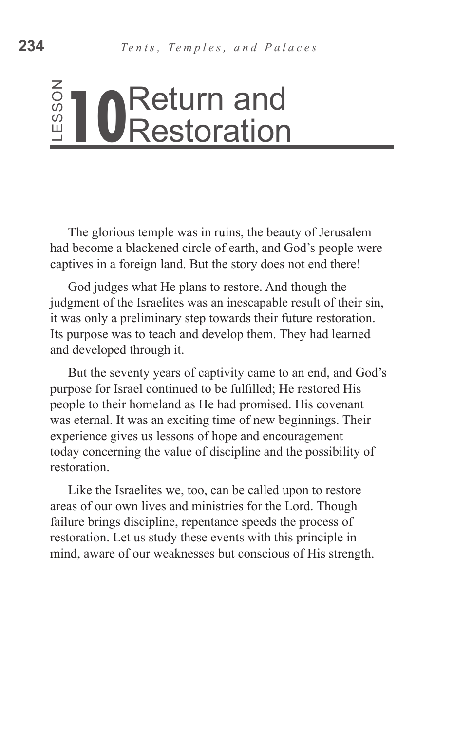# **O**Return and<br> **ORestoration**

The glorious temple was in ruins, the beauty of Jerusalem had become a blackened circle of earth, and God's people were captives in a foreign land. But the story does not end there!

God judges what He plans to restore. And though the judgment of the Israelites was an inescapable result of their sin, it was only a preliminary step towards their future restoration. Its purpose was to teach and develop them. They had learned and developed through it.

But the seventy years of captivity came to an end, and God's purpose for Israel continued to be fulfilled; He restored His people to their homeland as He had promised. His covenant was eternal. It was an exciting time of new beginnings. Their experience gives us lessons of hope and encouragement today concerning the value of discipline and the possibility of restoration. Example was in ruins, the beauty of Jerusalem<br>
and become a blackened circle of earth, and God's people were<br>
had become a blackened circle of earth, and God's people were<br>
cod judges what He plans to restorce. And though

Like the Israelites we, too, can be called upon to restore areas of our own lives and ministries for the Lord. Though failure brings discipline, repentance speeds the process of restoration. Let us study these events with this principle in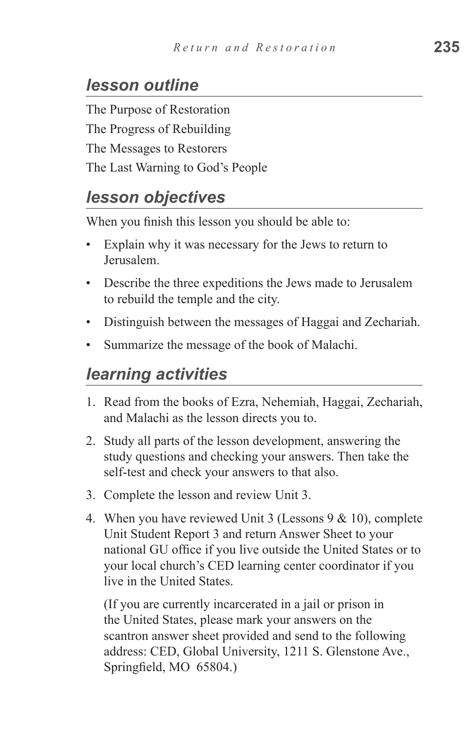## *lesson outline*

The Purpose of Restoration The Progress of Rebuilding The Messages to Restorers The Last Warning to God's People

## *lesson objectives*

When you finish this lesson you should be able to:

- Explain why it was necessary for the Jews to return to Jerusalem.
- Describe the three expeditions the Jews made to Jerusalem to rebuild the temple and the city.
- Distinguish between the messages of Haggai and Zechariah.
- Summarize the message of the book of Malachi.

## *learning activities*

- 1. Read from the books of Ezra, Nehemiah, Haggai, Zechariah, and Malachi as the lesson directs you to.
- 2. Study all parts of the lesson development, answering the study questions and checking your answers. Then take the self-test and check your answers to that also.
- 3. Complete the lesson and review Unit 3.
- 4. When you have reviewed Unit 3 (Lessons  $9 & 10$ ), complete Unit Student Report 3 and return Answer Sheet to your national GU office if you live outside the United States or to your local church's CED learning center coordinator if you live in the United States.

(If you are currently incarcerated in a jail or prison in the United States, please mark your answers on the scantron answer sheet provided and send to the following address: CED, Global University, 1211 S. Glenstone Ave., Springfield, MO 65804.)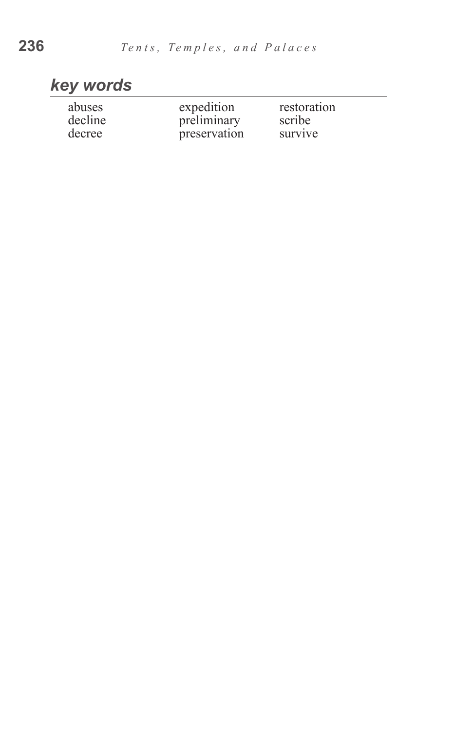# *key words*

| abuses  | expedition   | restoration |
|---------|--------------|-------------|
| decline | preliminary  | scribe      |
| decree  | preservation | survive     |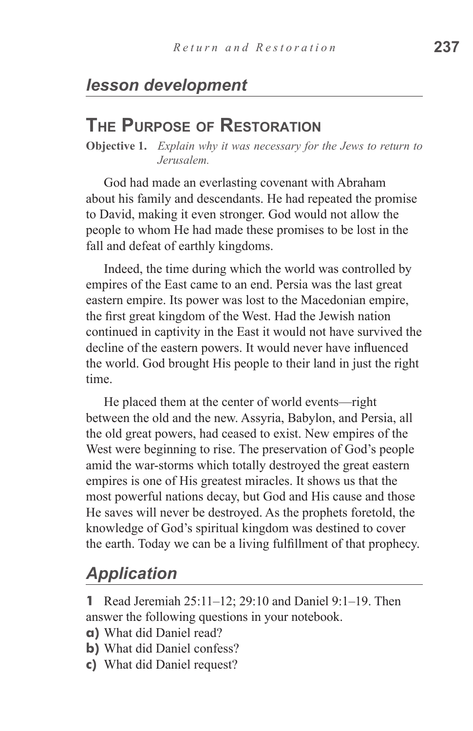## *lesson development*

## **The Purpose of Restoration**

**Objective 1.** *Explain why it was necessary for the Jews to return to Jerusalem.*

God had made an everlasting covenant with Abraham about his family and descendants. He had repeated the promise to David, making it even stronger. God would not allow the people to whom He had made these promises to be lost in the fall and defeat of earthly kingdoms.

Indeed, the time during which the world was controlled by empires of the East came to an end. Persia was the last great eastern empire. Its power was lost to the Macedonian empire, the first great kingdom of the West. Had the Jewish nation continued in captivity in the East it would not have survived the decline of the eastern powers. It would never have influenced the world. God brought His people to their land in just the right time.

He placed them at the center of world events—right between the old and the new. Assyria, Babylon, and Persia, all the old great powers, had ceased to exist. New empires of the West were beginning to rise. The preservation of God's people amid the war-storms which totally destroyed the great eastern empires is one of His greatest miracles. It shows us that the most powerful nations decay, but God and His cause and those He saves will never be destroyed. As the prophets foretold, the knowledge of God's spiritual kingdom was destined to cover the earth. Today we can be a living fulfillment of that prophecy.

## *Application*

**1** Read Jeremiah 25:11–12; 29:10 and Daniel 9:1–19. Then answer the following questions in your notebook.

- **a)** What did Daniel read?
- **b)** What did Daniel confess?
- **c)** What did Daniel request?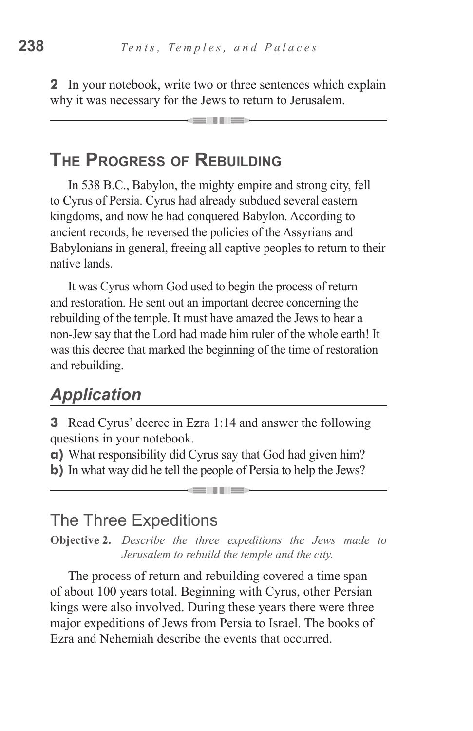**2** In your notebook, write two or three sentences which explain why it was necessary for the Jews to return to Jerusalem.

\_\_\_

## **The Progress of Rebuilding**

In 538 B.C., Babylon, the mighty empire and strong city, fell to Cyrus of Persia. Cyrus had already subdued several eastern kingdoms, and now he had conquered Babylon. According to ancient records, he reversed the policies of the Assyrians and Babylonians in general, freeing all captive peoples to return to their native lands.

It was Cyrus whom God used to begin the process of return and restoration. He sent out an important decree concerning the rebuilding of the temple. It must have amazed the Jews to hear a non-Jew say that the Lord had made him ruler of the whole earth! It was this decree that marked the beginning of the time of restoration and rebuilding.

## *Application*

**3** Read Cyrus' decree in Ezra 1:14 and answer the following questions in your notebook.

**a)** What responsibility did Cyrus say that God had given him?

**b)** In what way did he tell the people of Persia to help the Jews?

## The Three Expeditions

**Objective 2.** *Describe the three expeditions the Jews made to Jerusalem to rebuild the temple and the city.*

The process of return and rebuilding covered a time span of about 100 years total. Beginning with Cyrus, other Persian kings were also involved. During these years there were three major expeditions of Jews from Persia to Israel. The books of Ezra and Nehemiah describe the events that occurred.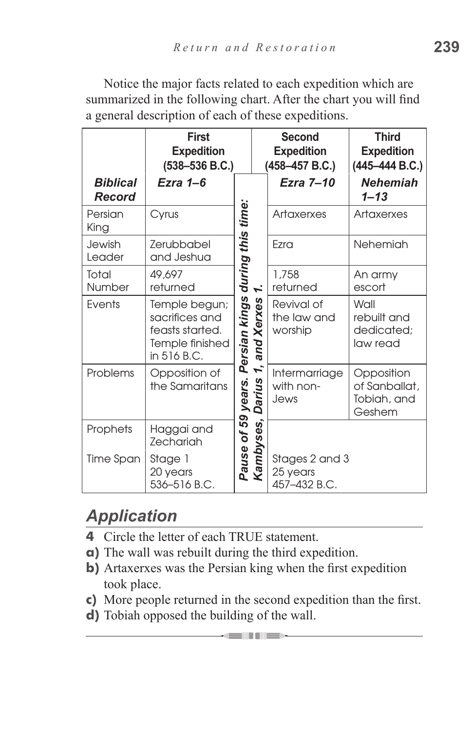|                           | <b>First</b><br><b>Expedition</b><br>$(538 - 536 B.C.)$                              |            | <b>Second</b><br><b>Expedition</b><br>(458-457 B.C.) |                                            | <b>Third</b><br><b>Expedition</b><br>$(445 - 444 B.C.)$ |
|---------------------------|--------------------------------------------------------------------------------------|------------|------------------------------------------------------|--------------------------------------------|---------------------------------------------------------|
| <b>Biblical</b><br>Record | Ezra 1-6                                                                             |            |                                                      | Ezra 7-10                                  | <b>Nehemiah</b><br>$1 - 13$                             |
| Persian<br>King           | Cyrus                                                                                | this time: |                                                      | Artaxerxes                                 | <b>Artaxerxes</b>                                       |
| Jewish<br>Leader          | Zerubbabel<br>and Jeshua                                                             |            |                                                      | Ezra                                       | Nehemiah                                                |
| Total<br>Number           | 49,697<br>returned                                                                   | during     | 1.                                                   | 1,758<br>returned                          | An army<br>escort                                       |
| Events                    | Temple begun;<br>sacrifices and<br>feasts started.<br>Temple finished<br>in 516 B.C. |            | Persian kings<br>1, and Xerxes 1                     | Revival of<br>the law and<br>worship       | Wall<br>rebuilt and<br>dedicated;<br>law read           |
| Problems                  | Opposition of<br>the Samaritans                                                      | years.     | 1,<br><b>Darius</b>                                  | Intermarriage<br>with non-<br>Jews         | Opposition<br>of Sanballat,<br>Tobiah, and<br>Geshem    |
| Prophets                  | Haggai and<br>Zechariah                                                              | 59         |                                                      |                                            |                                                         |
| Time Span                 | Stage 1<br>20 years<br>536-516 B.C.                                                  | Pause of   | Kambyses,                                            | Stages 2 and 3<br>25 years<br>457-432 B.C. |                                                         |

Notice the major facts related to each expedition which are summarized in the following chart. After the chart you will find a general description of each of these expeditions.

# *Application*

- **4** Circle the letter of each TRUE statement.
- **a)** The wall was rebuilt during the third expedition.
- **b)** Artaxerxes was the Persian king when the first expedition took place.
- **c)** More people returned in the second expedition than the first.

dell'Iller

**d)** Tobiah opposed the building of the wall.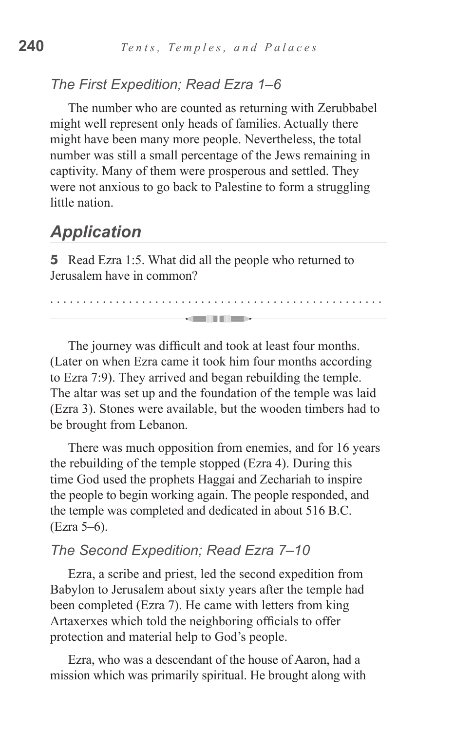#### *The First Expedition; Read Ezra 1–6*

The number who are counted as returning with Zerubbabel might well represent only heads of families. Actually there might have been many more people. Nevertheless, the total number was still a small percentage of the Jews remaining in captivity. Many of them were prosperous and settled. They were not anxious to go back to Palestine to form a struggling little nation.

### *Application*

**5** Read Ezra 1:5. What did all the people who returned to Jerusalem have in common?

The journey was difficult and took at least four months. (Later on when Ezra came it took him four months according to Ezra 7:9). They arrived and began rebuilding the temple. The altar was set up and the foundation of the temple was laid (Ezra 3). Stones were available, but the wooden timbers had to be brought from Lebanon.

. . . . . . . . . . . . . . . . . . . . . . . . . . . . . . . . . . . . . . . . . . . . . . . . . . .

-emili illi

There was much opposition from enemies, and for 16 years the rebuilding of the temple stopped (Ezra 4). During this time God used the prophets Haggai and Zechariah to inspire the people to begin working again. The people responded, and the temple was completed and dedicated in about 516 B.C. (Ezra 5–6).

#### *The Second Expedition; Read Ezra 7–10*

Ezra, a scribe and priest, led the second expedition from Babylon to Jerusalem about sixty years after the temple had been completed (Ezra 7). He came with letters from king Artaxerxes which told the neighboring officials to offer protection and material help to God's people.

Ezra, who was a descendant of the house of Aaron, had a mission which was primarily spiritual. He brought along with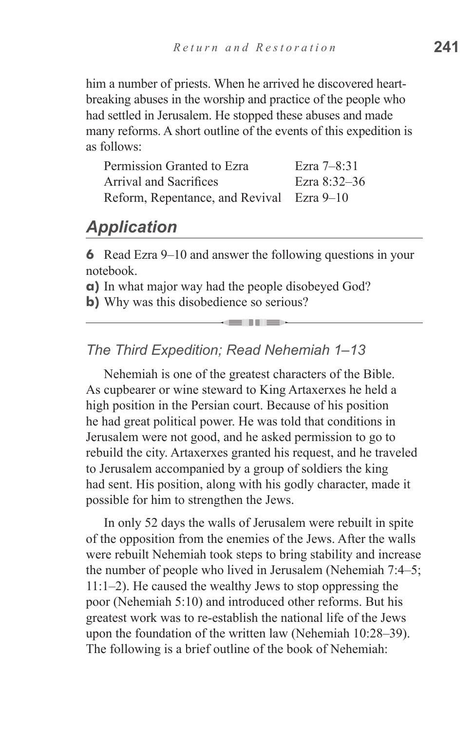him a number of priests. When he arrived he discovered heartbreaking abuses in the worship and practice of the people who had settled in Jerusalem. He stopped these abuses and made many reforms. A short outline of the events of this expedition is as follows:

| Permission Granted to Ezra                | Ezra $7 - 8:31$ |
|-------------------------------------------|-----------------|
| <b>Arrival and Sacrifices</b>             | Ezra $8:32-36$  |
| Reform, Repentance, and Revival Ezra 9–10 |                 |

## *Application*

**6** Read Ezra 9–10 and answer the following questions in your notebook.

<u>elitie</u>

**a)** In what major way had the people disobeyed God?

**b**) Why was this disobedience so serious?

#### *The Third Expedition; Read Nehemiah 1–13*

Nehemiah is one of the greatest characters of the Bible. As cupbearer or wine steward to King Artaxerxes he held a high position in the Persian court. Because of his position he had great political power. He was told that conditions in Jerusalem were not good, and he asked permission to go to rebuild the city. Artaxerxes granted his request, and he traveled to Jerusalem accompanied by a group of soldiers the king had sent. His position, along with his godly character, made it possible for him to strengthen the Jews.

In only 52 days the walls of Jerusalem were rebuilt in spite of the opposition from the enemies of the Jews. After the walls were rebuilt Nehemiah took steps to bring stability and increase the number of people who lived in Jerusalem (Nehemiah 7:4–5; 11:1–2). He caused the wealthy Jews to stop oppressing the poor (Nehemiah 5:10) and introduced other reforms. But his greatest work was to re-establish the national life of the Jews upon the foundation of the written law (Nehemiah 10:28–39). The following is a brief outline of the book of Nehemiah: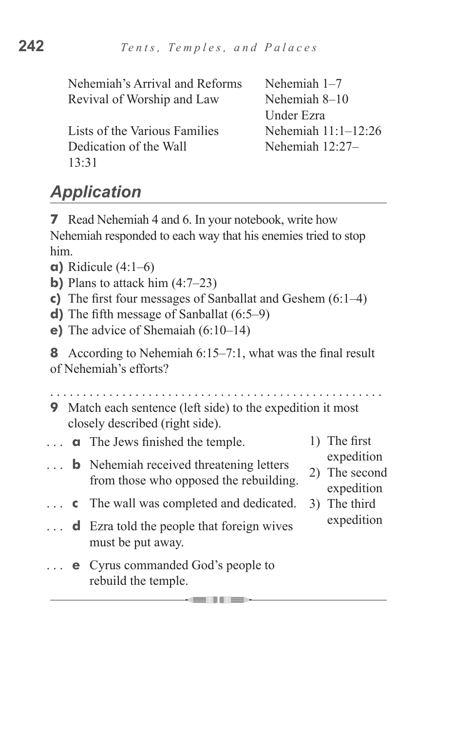| Nehemiah's Arrival and Reforms | Nehemiah $1-7$        |
|--------------------------------|-----------------------|
| Revival of Worship and Law     | Nehemiah 8–10         |
|                                | Under Ezra            |
| Lists of the Various Families  | Nehemiah $11:1-12:26$ |
| Dedication of the Wall         | Nehemiah $12:27-$     |
| 13.31                          |                       |
|                                |                       |

# *Application*

**7** Read Nehemiah 4 and 6. In your notebook, write how Nehemiah responded to each way that his enemies tried to stop him.

- **a)** Ridicule (4:1–6)
- **b**) Plans to attack him  $(4:7-23)$
- **c)** The first four messages of Sanballat and Geshem (6:1–4)
- **d)** The fifth message of Sanballat (6:5–9)
- **e)** The advice of Shemaiah (6:10–14)

**8** According to Nehemiah 6:15–7:1, what was the final result of Nehemiah's efforts?

**9** Match each sentence (left side) to the expedition it most closely described (right side).

**GUILD** 

- **a** The Jews finished the temple.
- **b** Nehemiah received threatening letters from those who opposed the rebuilding.
- **c**  The wall was completed and dedicated.  $\cdots$
- **d** Ezra told the people that foreign wives  $\mathbf{1}$ must be put away.
- **e** Cyrus commanded God's people to rebuild the temple.
- 1) The first
	- expedition
- 2) The second expedition
- 3) The third expedition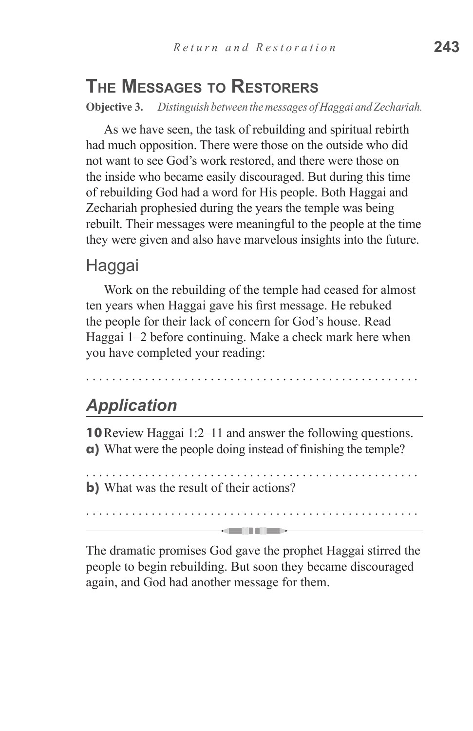# **The Messages to Restorers**

**Objective 3.** *Distinguish between the messages of Haggai and Zechariah.*

As we have seen, the task of rebuilding and spiritual rebirth had much opposition. There were those on the outside who did not want to see God's work restored, and there were those on the inside who became easily discouraged. But during this time of rebuilding God had a word for His people. Both Haggai and Zechariah prophesied during the years the temple was being rebuilt. Their messages were meaningful to the people at the time they were given and also have marvelous insights into the future.

#### Haggai

Work on the rebuilding of the temple had ceased for almost ten years when Haggai gave his first message. He rebuked the people for their lack of concern for God's house. Read Haggai 1–2 before continuing. Make a check mark here when you have completed your reading:

. . . . . . . . . . . . . . . . . . . . . . . . . . . . . . . . . . . . . . . . . . . . . . . . . . .

## *Application*

**10**Review Haggai 1:2–11 and answer the following questions. **a)** What were the people doing instead of finishing the temple?

. . . . . . . . . . . . . . . . . . . . . . . . . . . . . . . . . . . . . . . . . . . . . . . . . . . **b)** What was the result of their actions?

. . . . . . . . . . . . . . . . . . . . . . . . . . . . . . . . . . . . . . . . . . . . . . . . . . . **SENTE** 

The dramatic promises God gave the prophet Haggai stirred the people to begin rebuilding. But soon they became discouraged again, and God had another message for them.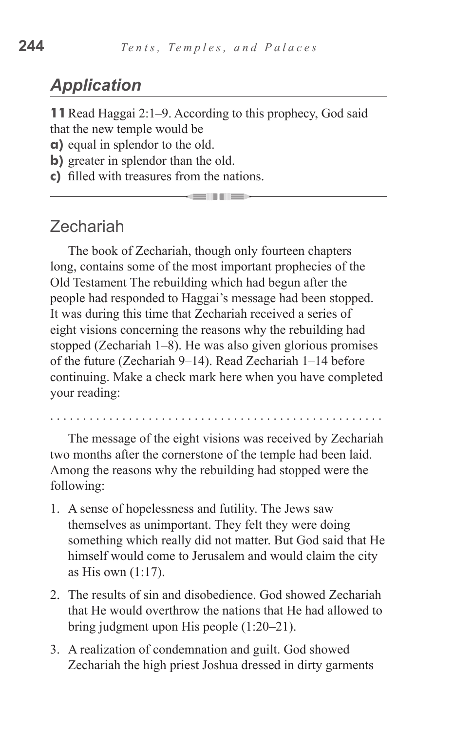## *Application*

**11**Read Haggai 2:1–9. According to this prophecy, God said that the new temple would be

- 11 -

**a)** equal in splendor to the old.

- **b**) greater in splendor than the old.
- **c)** filled with treasures from the nations.

## Zechariah

The book of Zechariah, though only fourteen chapters long, contains some of the most important prophecies of the Old Testament The rebuilding which had begun after the people had responded to Haggai's message had been stopped. It was during this time that Zechariah received a series of eight visions concerning the reasons why the rebuilding had stopped (Zechariah 1–8). He was also given glorious promises of the future (Zechariah 9–14). Read Zechariah 1–14 before continuing. Make a check mark here when you have completed your reading:

. . . . . . . . . . . . . . . . . . . . . . . . . . . . . . . . . . . . . . . . . . . . . . . . . . .

The message of the eight visions was received by Zechariah two months after the cornerstone of the temple had been laid. Among the reasons why the rebuilding had stopped were the following:

- 1. A sense of hopelessness and futility. The Jews saw themselves as unimportant. They felt they were doing something which really did not matter. But God said that He himself would come to Jerusalem and would claim the city as His own (1:17).
- 2. The results of sin and disobedience. God showed Zechariah that He would overthrow the nations that He had allowed to bring judgment upon His people (1:20–21).
- 3. A realization of condemnation and guilt. God showed Zechariah the high priest Joshua dressed in dirty garments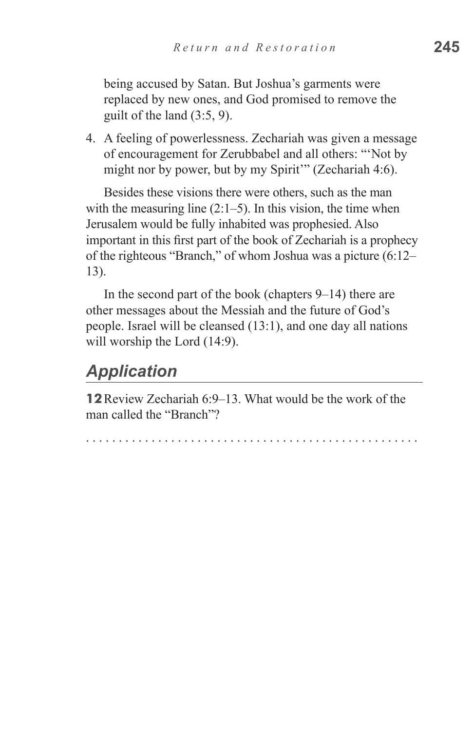being accused by Satan. But Joshua's garments were replaced by new ones, and God promised to remove the guilt of the land (3:5, 9).

4. A feeling of powerlessness. Zechariah was given a message of encouragement for Zerubbabel and all others: "'Not by might nor by power, but by my Spirit'" (Zechariah 4:6).

Besides these visions there were others, such as the man with the measuring line  $(2:1-5)$ . In this vision, the time when Jerusalem would be fully inhabited was prophesied. Also important in this first part of the book of Zechariah is a prophecy of the righteous "Branch," of whom Joshua was a picture (6:12– 13).

In the second part of the book (chapters 9–14) there are other messages about the Messiah and the future of God's people. Israel will be cleansed (13:1), and one day all nations will worship the Lord  $(14:9)$ .

## *Application*

**12**Review Zechariah 6:9–13. What would be the work of the man called the "Branch"?

. . . . . . . . . . . . . . . . . . . . . . . . . . . . . . . . . . . . . . . . . . . . . . . . . . .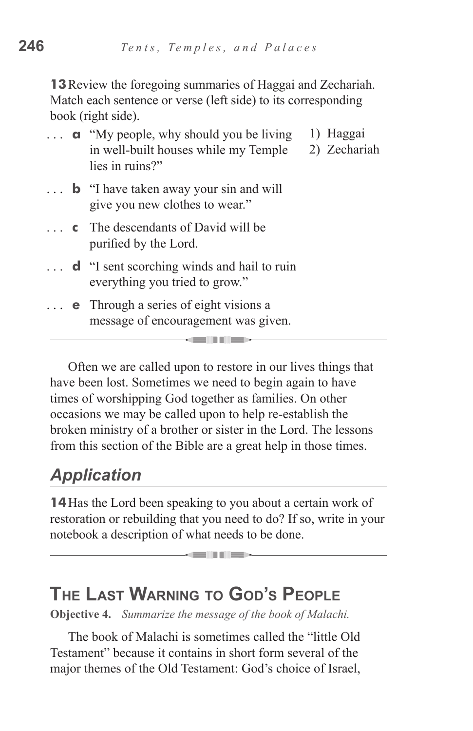**13**Review the foregoing summaries of Haggai and Zechariah. Match each sentence or verse (left side) to its corresponding book (right side).

- **a** "My people, why should you be living" in well-built houses while my Temple lies in ruins?" 1) Haggai 2) Zechariah
- **b** "I have taken away your sin and will give you new clothes to wear."
- **c** The descendants of David will be purified by the Lord.
- **d** "I sent scorching winds and hail to ruin everything you tried to grow."
- **e** Through a series of eight visions a message of encouragement was given.

Often we are called upon to restore in our lives things that have been lost. Sometimes we need to begin again to have times of worshipping God together as families. On other occasions we may be called upon to help re-establish the broken ministry of a brother or sister in the Lord. The lessons from this section of the Bible are a great help in those times.

# *Application*

**14**Has the Lord been speaking to you about a certain work of restoration or rebuilding that you need to do? If so, write in your notebook a description of what needs to be done.

**KENDER** 

# **The Last Warning to God's People**

**Objective 4.** *Summarize the message of the book of Malachi.*

The book of Malachi is sometimes called the "little Old Testament" because it contains in short form several of the major themes of the Old Testament: God's choice of Israel,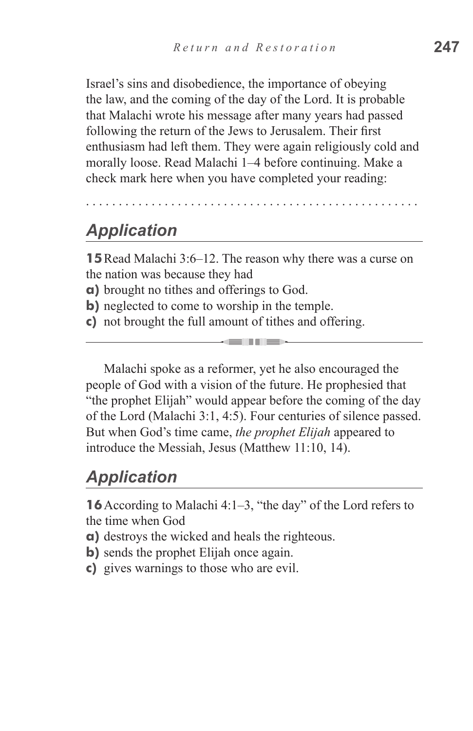Israel's sins and disobedience, the importance of obeying the law, and the coming of the day of the Lord. It is probable that Malachi wrote his message after many years had passed following the return of the Jews to Jerusalem. Their first enthusiasm had left them. They were again religiously cold and morally loose. Read Malachi 1–4 before continuing. Make a check mark here when you have completed your reading:

. . . . . . . . . . . . . . . . . . . . . . . . . . . . . . . . . . . . . . . . . . . . . . . . . . .

# *Application*

**15**Read Malachi 3:6–12. The reason why there was a curse on the nation was because they had

- **a)** brought no tithes and offerings to God.
- **b**) neglected to come to worship in the temple.
- **c)** not brought the full amount of tithes and offering.

Malachi spoke as a reformer, yet he also encouraged the people of God with a vision of the future. He prophesied that "the prophet Elijah" would appear before the coming of the day of the Lord (Malachi 3:1, 4:5). Four centuries of silence passed. But when God's time came, *the prophet Elijah* appeared to introduce the Messiah, Jesus (Matthew 11:10, 14).

**GENERAL MEDIA** 

## *Application*

**16** According to Malachi 4:1–3, "the day" of the Lord refers to the time when God

- **a)** destroys the wicked and heals the righteous.
- **b**) sends the prophet Elijah once again.
- **c)** gives warnings to those who are evil.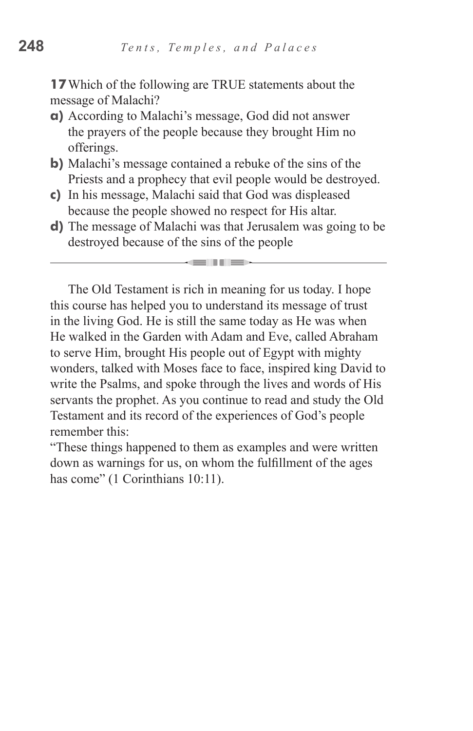**17**Which of the following are TRUE statements about the message of Malachi?

- **a)** According to Malachi's message, God did not answer the prayers of the people because they brought Him no offerings.
- **b)** Malachi's message contained a rebuke of the sins of the Priests and a prophecy that evil people would be destroyed.
- **c)** In his message, Malachi said that God was displeased because the people showed no respect for His altar.
- **d)** The message of Malachi was that Jerusalem was going to be destroyed because of the sins of the people

a seminar pilot

The Old Testament is rich in meaning for us today. I hope this course has helped you to understand its message of trust in the living God. He is still the same today as He was when He walked in the Garden with Adam and Eve, called Abraham to serve Him, brought His people out of Egypt with mighty wonders, talked with Moses face to face, inspired king David to write the Psalms, and spoke through the lives and words of His servants the prophet. As you continue to read and study the Old Testament and its record of the experiences of God's people remember this:

"These things happened to them as examples and were written down as warnings for us, on whom the fulfillment of the ages has come" (1 Corinthians 10:11).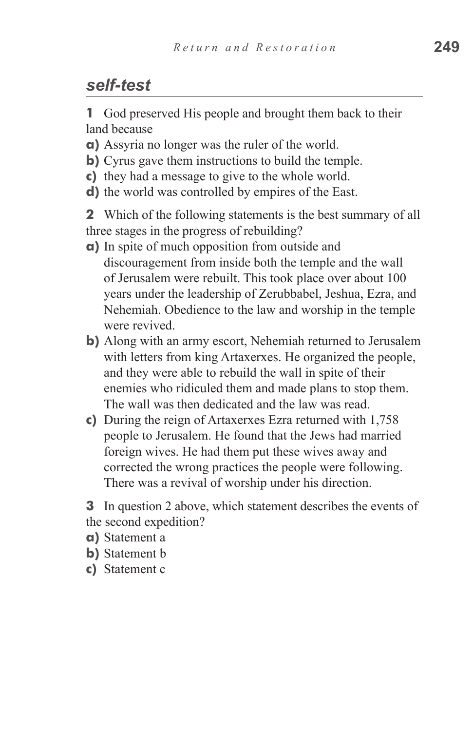## *self-test*

**1** God preserved His people and brought them back to their land because

- **a)** Assyria no longer was the ruler of the world.
- **b)** Cyrus gave them instructions to build the temple.
- **c**) they had a message to give to the whole world.
- **d**) the world was controlled by empires of the East.

**2** Which of the following statements is the best summary of all three stages in the progress of rebuilding?

- **a)** In spite of much opposition from outside and discouragement from inside both the temple and the wall of Jerusalem were rebuilt. This took place over about 100 years under the leadership of Zerubbabel, Jeshua, Ezra, and Nehemiah. Obedience to the law and worship in the temple were revived.
- **b**) Along with an army escort, Nehemiah returned to Jerusalem with letters from king Artaxerxes. He organized the people, and they were able to rebuild the wall in spite of their enemies who ridiculed them and made plans to stop them. The wall was then dedicated and the law was read.
- **c)** During the reign of Artaxerxes Ezra returned with 1,758 people to Jerusalem. He found that the Jews had married foreign wives. He had them put these wives away and corrected the wrong practices the people were following. There was a revival of worship under his direction.

**3** In question 2 above, which statement describes the events of the second expedition?

- **a)** Statement a
- **b**) Statement b
- **c)**  Statement c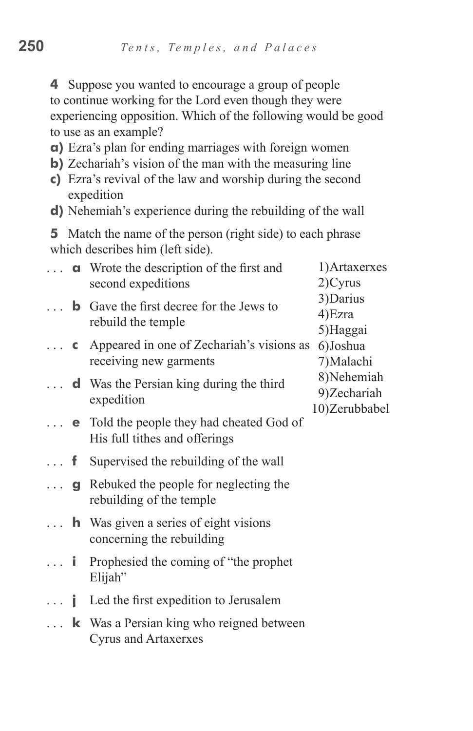**4** Suppose you wanted to encourage a group of people to continue working for the Lord even though they were experiencing opposition. Which of the following would be good to use as an example?

- **a)** Ezra's plan for ending marriages with foreign women
- **b**) Zechariah's vision of the man with the measuring line
- **c)** Ezra's revival of the law and worship during the second expedition
- **d**) Nehemiah's experience during the rebuilding of the wall

**5** Match the name of the person (right side) to each phrase which describes him (left side).

| $\mathbf{1}$   |   | <b>a</b> Wrote the description of the first and<br>second expeditions               | 1) Artaxerxes<br>$2)$ Cyrus                 |
|----------------|---|-------------------------------------------------------------------------------------|---------------------------------------------|
| $\cdots$       |   | <b>b</b> Gave the first decree for the Jews to<br>rebuild the temple                | 3) Darius<br>4) Ezra<br>5)Haggai            |
| $\mathbf{1}$   |   | <b>c</b> Appeared in one of Zechariah's visions as<br>receiving new garments        | 6) Joshua<br>7) Malachi                     |
|                |   | <b>d</b> Was the Persian king during the third<br>expedition                        | 8) Nehemiah<br>9)Zechariah<br>10)Zerubbabel |
|                |   | $\ldots$ e Told the people they had cheated God of<br>His full tithes and offerings |                                             |
| . f            |   | Supervised the rebuilding of the wall                                               |                                             |
| $\mathbb{R}^2$ |   | <b>g</b> Rebuked the people for neglecting the<br>rebuilding of the temple          |                                             |
|                |   | $\ldots$ <b>h</b> Was given a series of eight visions<br>concerning the rebuilding  |                                             |
| . <b>i</b>     |   | Prophesied the coming of "the prophet"<br>Elijah"                                   |                                             |
| $\mathbb{R}$   | Ť | Led the first expedition to Jerusalem                                               |                                             |
|                |   | <b>k</b> Was a Persian king who reigned between<br><b>Cyrus and Artaxerxes</b>      |                                             |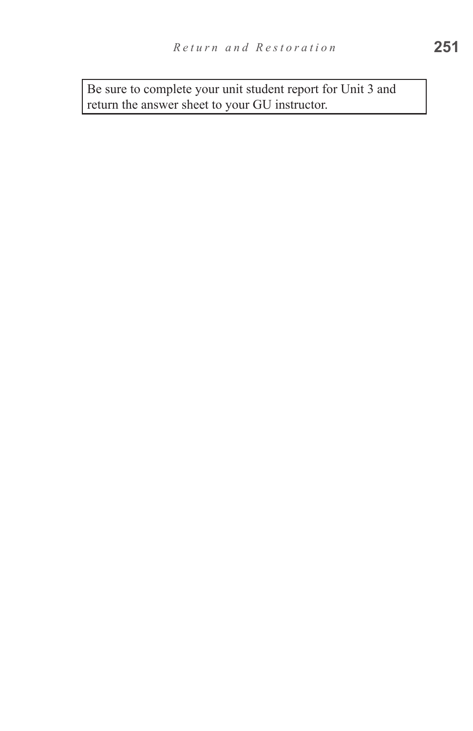Be sure to complete your unit student report for Unit 3 and return the answer sheet to your GU instructor.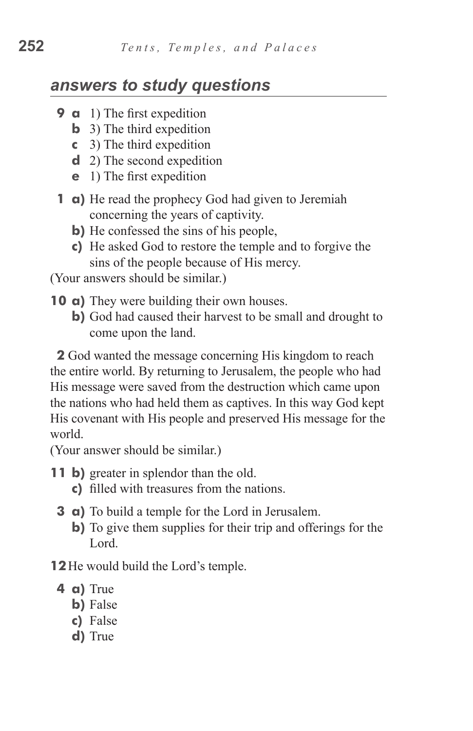## *answers to study questions*

- **9 a** 1) The first expedition
	- **b** 3) The third expedition
	- **c**  3) The third expedition
	- **d** 2) The second expedition
	- **e** 1) The first expedition
- **1 a)** He read the prophecy God had given to Jeremiah concerning the years of captivity.
	- **b**) He confessed the sins of his people,
	- **c)**  He asked God to restore the temple and to forgive the sins of the people because of His mercy.

(Your answers should be similar.)

- **10 a)** They were building their own houses.
	- **b)** God had caused their harvest to be small and drought to come upon the land.

**2** God wanted the message concerning His kingdom to reach the entire world. By returning to Jerusalem, the people who had His message were saved from the destruction which came upon the nations who had held them as captives. In this way God kept His covenant with His people and preserved His message for the world.

(Your answer should be similar.)

- **11 b)** greater in splendor than the old.
	- **c)**  filled with treasures from the nations.
	- **3 a**) To build a temple for the Lord in Jerusalem.
		- **b)** To give them supplies for their trip and offerings for the Lord.

**12**He would build the Lord's temple.

- **4 a)** True
	- **b**) False
	- **c)**  False
	- **d**) True